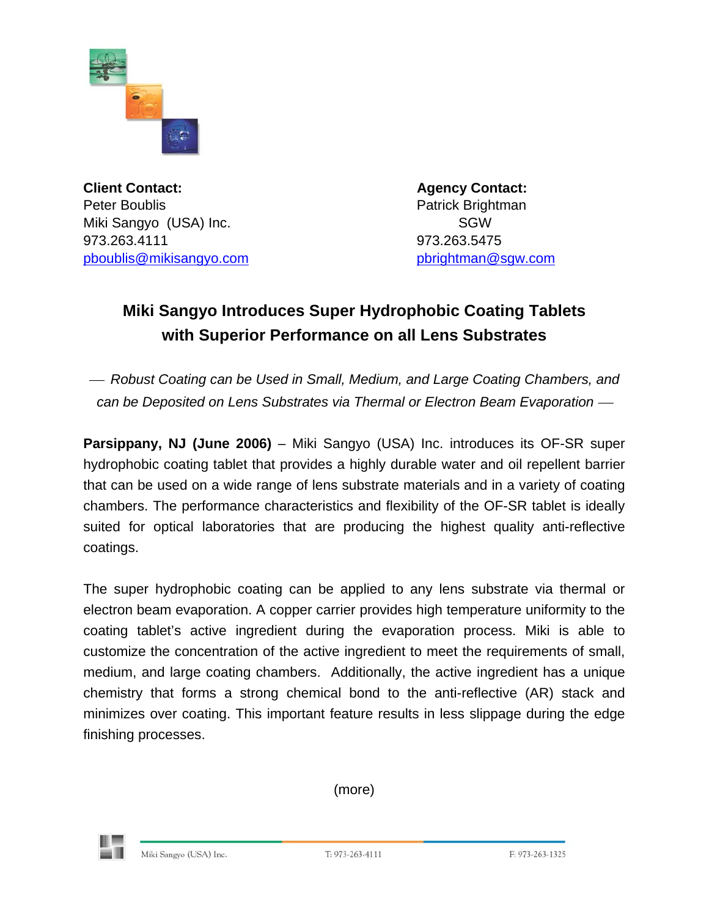

**Client Contact: Agency Contact: Agency Contact:** Peter Boublis **Patrick Brightman** Miki Sangyo (USA) Inc. SGW 973.263.4111 973.263.5475 [pboublis@mikisangyo.com](mailto:pboublis@mikisangyo.com) [pbrightman@sgw.com](mailto:pbrightman@sgw.com)

## **Miki Sangyo Introduces Super Hydrophobic Coating Tablets with Superior Performance on all Lens Substrates**

<sup>⎯</sup> *Robust Coating can be Used in Small, Medium, and Large Coating Chambers, and can be Deposited on Lens Substrates via Thermal or Electron Beam Evaporation* —

**Parsippany, NJ (June 2006)** – Miki Sangyo (USA) Inc. introduces its OF-SR super hydrophobic coating tablet that provides a highly durable water and oil repellent barrier that can be used on a wide range of lens substrate materials and in a variety of coating chambers. The performance characteristics and flexibility of the OF-SR tablet is ideally suited for optical laboratories that are producing the highest quality anti-reflective coatings.

The super hydrophobic coating can be applied to any lens substrate via thermal or electron beam evaporation. A copper carrier provides high temperature uniformity to the coating tablet's active ingredient during the evaporation process. Miki is able to customize the concentration of the active ingredient to meet the requirements of small, medium, and large coating chambers. Additionally, the active ingredient has a unique chemistry that forms a strong chemical bond to the anti-reflective (AR) stack and minimizes over coating. This important feature results in less slippage during the edge finishing processes.

(more)